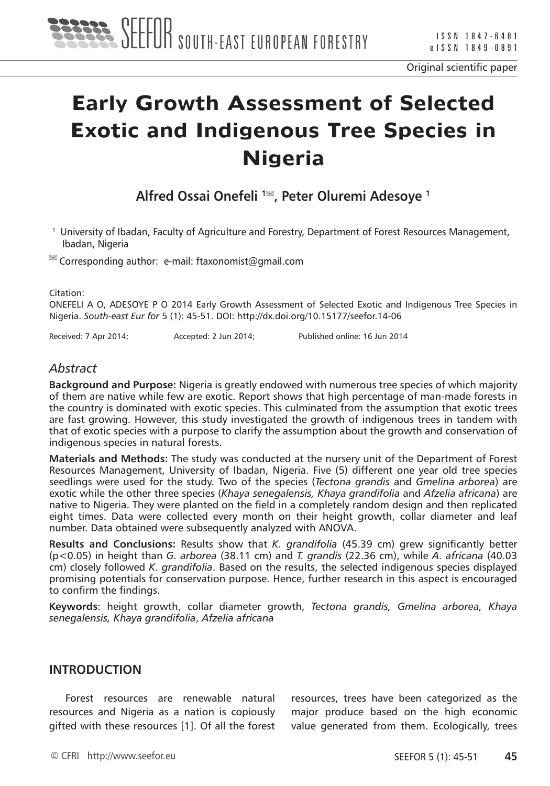

# **Early Growth Assessment of Selected Exotic and Indigenous Tree Species in Nigeria**

Alfred Ossai Onefeli<sup>1</sup><sup>■</sup>, Peter Oluremi Adesoye<sup>1</sup>

1 University of Ibadan, Faculty of Agriculture and Forestry, Department of Forest Resources Management, Ibadan, Nigeria

 $\blacksquare$  Corresponding author: e-mail: ftaxonomist@gmail.com

Citation:

ONEFELI A O, ADESOYE P O 2014 Early Growth Assessment of Selected Exotic and Indigenous Tree Species in Nigeria. *South-east Eur for* 5 (1): 45-51. DOI: http://dx.doi.org/10.15177/seefor.14-06

Received: 7 Apr 2014; Accepted: 2 Jun 2014; Published online: 16 Jun 2014

## *Abstract*

**Background and Purpose:** Nigeria is greatly endowed with numerous tree species of which majority of them are native while few are exotic. Report shows that high percentage of man-made forests in the country is dominated with exotic species. This culminated from the assumption that exotic trees are fast growing. However, this study investigated the growth of indigenous trees in tandem with that of exotic species with a purpose to clarify the assumption about the growth and conservation of indigenous species in natural forests.

**Materials and Methods:** The study was conducted at the nursery unit of the Department of Forest Resources Management, University of Ibadan, Nigeria. Five (5) different one year old tree species seedlings were used for the study. Two of the species (*Tectona grandis* and *Gmelina arborea*) are exotic while the other three species (*Khaya senegalensis, Khaya grandifolia* and *Afzelia africana*) are native to Nigeria. They were planted on the field in a completely random design and then replicated eight times. Data were collected every month on their height growth, collar diameter and leaf number. Data obtained were subsequently analyzed with ANOVA.

**Results and Conclusions:** Results show that *K. grandifolia* (45.39 cm) grew significantly better (p<0.05) in height than *G. arborea* (38.11 cm) and *T. grandis* (22.36 cm), while *A. africana* (40.03 cm) closely followed *K. grandifolia*. Based on the results, the selected indigenous species displayed promising potentials for conservation purpose. Hence, further research in this aspect is encouraged to confirm the findings.

**Keywords**: height growth, collar diameter growth, *Tectona grandis, Gmelina arborea, Khaya senegalensis, Khaya grandifolia*, *Afzelia africana*

## **INTRODUCTION**

Forest resources are renewable natural resources and Nigeria as a nation is copiously gifted with these resources [1]. Of all the forest

resources, trees have been categorized as the major produce based on the high economic value generated from them. Ecologically, trees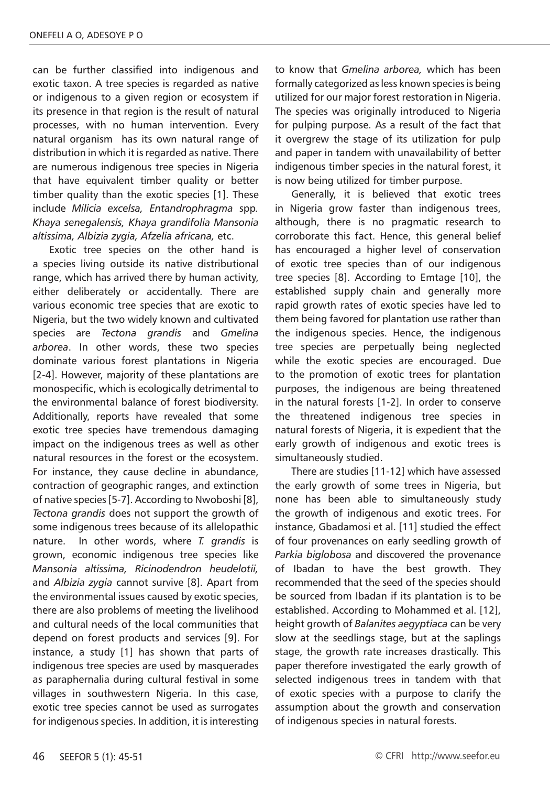can be further classified into indigenous and exotic taxon. A tree species is regarded as native or indigenous to a given region or ecosystem if its presence in that region is the result of natural processes, with no human intervention. Every natural organism has its own natural range of distribution in which it is regarded as native. There are numerous indigenous tree species in Nigeria that have equivalent timber quality or better timber quality than the exotic species [1]. These include *Milicia excelsa, Entandrophragma* spp*. Khaya senegalensis, Khaya grandifolia Mansonia altissima, Albizia zygia, Afzelia africana,* etc.

Exotic tree species on the other hand is a species living outside its native distributional range, which has arrived there by human activity, either deliberately or accidentally. There are various economic tree species that are exotic to Nigeria, but the two widely known and cultivated species are *Tectona grandis* and *Gmelina arborea*. In other words, these two species dominate various forest plantations in Nigeria [2-4]. However, majority of these plantations are monospecific, which is ecologically detrimental to the environmental balance of forest biodiversity. Additionally, reports have revealed that some exotic tree species have tremendous damaging impact on the indigenous trees as well as other natural resources in the forest or the ecosystem. For instance, they cause decline in abundance, contraction of geographic ranges, and extinction of native species [5-7]. According to Nwoboshi [8], *Tectona grandis* does not support the growth of some indigenous trees because of its allelopathic nature. In other words, where *T. grandis* is grown, economic indigenous tree species like *Mansonia altissima, Ricinodendron heudelotii,*  and *Albizia zygia* cannot survive [8]. Apart from the environmental issues caused by exotic species, there are also problems of meeting the livelihood and cultural needs of the local communities that depend on forest products and services [9]. For instance, a study [1] has shown that parts of indigenous tree species are used by masquerades as paraphernalia during cultural festival in some villages in southwestern Nigeria. In this case, exotic tree species cannot be used as surrogates for indigenous species. In addition, it is interesting to know that *Gmelina arborea,* which has been formally categorized as less known species is being utilized for our major forest restoration in Nigeria. The species was originally introduced to Nigeria for pulping purpose. As a result of the fact that it overgrew the stage of its utilization for pulp and paper in tandem with unavailability of better indigenous timber species in the natural forest, it is now being utilized for timber purpose.

Generally, it is believed that exotic trees in Nigeria grow faster than indigenous trees, although, there is no pragmatic research to corroborate this fact. Hence, this general belief has encouraged a higher level of conservation of exotic tree species than of our indigenous tree species [8]. According to Emtage [10], the established supply chain and generally more rapid growth rates of exotic species have led to them being favored for plantation use rather than the indigenous species. Hence, the indigenous tree species are perpetually being neglected while the exotic species are encouraged. Due to the promotion of exotic trees for plantation purposes, the indigenous are being threatened in the natural forests [1-2]. In order to conserve the threatened indigenous tree species in natural forests of Nigeria, it is expedient that the early growth of indigenous and exotic trees is simultaneously studied.

There are studies [11-12] which have assessed the early growth of some trees in Nigeria, but none has been able to simultaneously study the growth of indigenous and exotic trees. For instance, Gbadamosi et al. [11] studied the effect of four provenances on early seedling growth of *Parkia biglobosa* and discovered the provenance of Ibadan to have the best growth. They recommended that the seed of the species should be sourced from Ibadan if its plantation is to be established. According to Mohammed et al. [12], height growth of *Balanites aegyptiaca* can be very slow at the seedlings stage, but at the saplings stage, the growth rate increases drastically. This paper therefore investigated the early growth of selected indigenous trees in tandem with that of exotic species with a purpose to clarify the assumption about the growth and conservation of indigenous species in natural forests.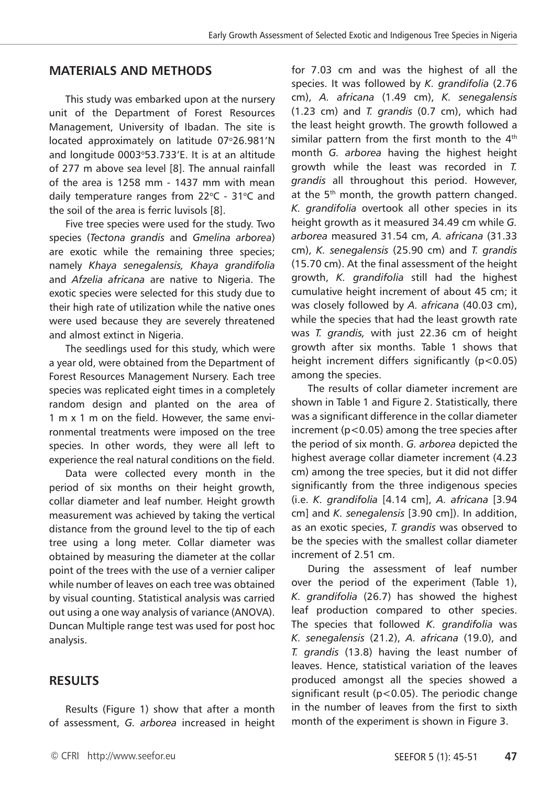## **MATERIALS AND METHODS**

This study was embarked upon at the nursery unit of the Department of Forest Resources Management, University of Ibadan. The site is located approximately on latitude 07°26.981'N and longitude 0003°53.733'E. It is at an altitude of 277 m above sea level [8]. The annual rainfall of the area is 1258 mm - 1437 mm with mean daily temperature ranges from 22°C - 31°C and the soil of the area is ferric luvisols [8].

Five tree species were used for the study. Two species (*Tectona grandis* and *Gmelina arborea*) are exotic while the remaining three species; namely *Khaya senegalensis, Khaya grandifolia* and *Afzelia africana* are native to Nigeria. The exotic species were selected for this study due to their high rate of utilization while the native ones were used because they are severely threatened and almost extinct in Nigeria.

The seedlings used for this study, which were a year old, were obtained from the Department of Forest Resources Management Nursery. Each tree species was replicated eight times in a completely random design and planted on the area of 1 m x 1 m on the field. However, the same environmental treatments were imposed on the tree species. In other words, they were all left to experience the real natural conditions on the field.

Data were collected every month in the period of six months on their height growth, collar diameter and leaf number. Height growth measurement was achieved by taking the vertical distance from the ground level to the tip of each tree using a long meter. Collar diameter was obtained by measuring the diameter at the collar point of the trees with the use of a vernier caliper while number of leaves on each tree was obtained by visual counting. Statistical analysis was carried out using a one way analysis of variance (ANOVA). Duncan Multiple range test was used for post hoc analysis.

# **RESULTS**

Results (Figure 1) show that after a month of assessment, *G. arborea* increased in height for 7.03 cm and was the highest of all the species. It was followed by *K. grandifolia* (2.76 cm), *A. africana* (1.49 cm), *K. senegalensis*  (1.23 cm) and *T. grandis* (0.7 cm), which had the least height growth. The growth followed a similar pattern from the first month to the  $4<sup>th</sup>$ month *G. arborea* having the highest height growth while the least was recorded in *T. grandis* all throughout this period. However, at the 5<sup>th</sup> month, the growth pattern changed. *K. grandifolia* overtook all other species in its height growth as it measured 34.49 cm while *G. arborea* measured 31.54 cm, *A. africana* (31.33 cm), *K. senegalensis* (25.90 cm) and *T. grandis*  (15.70 cm). At the final assessment of the height growth, *K. grandifolia* still had the highest cumulative height increment of about 45 cm; it was closely followed by *A. africana* (40.03 cm), while the species that had the least growth rate was *T. grandis,* with just 22.36 cm of height growth after six months. Table 1 shows that height increment differs significantly (p<0.05) among the species.

The results of collar diameter increment are shown in Table 1 and Figure 2. Statistically, there was a significant difference in the collar diameter increment (p<0.05) among the tree species after the period of six month. *G. arborea* depicted the highest average collar diameter increment (4.23 cm) among the tree species, but it did not differ significantly from the three indigenous species (i.e. *K. grandifolia* [4.14 cm], *A. africana* [3.94 cm] and *K. senegalensis* [3.90 cm]). In addition, as an exotic species, *T. grandis* was observed to be the species with the smallest collar diameter increment of 2.51 cm.

During the assessment of leaf number over the period of the experiment (Table 1), *K. grandifolia* (26.7) has showed the highest leaf production compared to other species. The species that followed *K. grandifolia* was *K. senegalensis* (21.2), *A. africana* (19.0), and *T. grandis* (13.8) having the least number of leaves. Hence, statistical variation of the leaves produced amongst all the species showed a significant result (p<0.05). The periodic change in the number of leaves from the first to sixth month of the experiment is shown in Figure 3.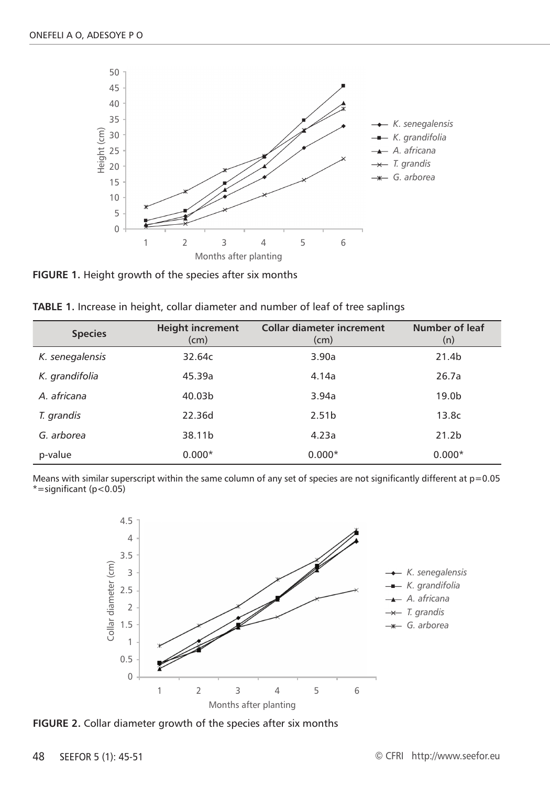

**FIGURE 1.** Height growth of the species after six months

| <b>TABLE 1.</b> Increase in height, collar diameter and number of leaf of tree saplings |  |  |
|-----------------------------------------------------------------------------------------|--|--|
|-----------------------------------------------------------------------------------------|--|--|

| <b>Species</b>  | <b>Height increment</b><br>(cm) | <b>Collar diameter increment</b><br>(cm) | Number of leaf<br>(n) |
|-----------------|---------------------------------|------------------------------------------|-----------------------|
| K. senegalensis | 32.64c                          | 3.90a                                    | 21.4b                 |
| K. grandifolia  | 45.39a                          | 4.14a                                    | 26.7a                 |
| A. africana     | 40.03b                          | 3.94a                                    | 19.0 <sub>b</sub>     |
| T. grandis      | 22.36d                          | 2.51 <sub>b</sub>                        | 13.8 <sub>c</sub>     |
| G. arborea      | 38.11b                          | 4.23a                                    | 21.2 <sub>b</sub>     |
| p-value         | $0.000*$                        | $0.000*$                                 | $0.000*$              |

Means with similar superscript within the same column of any set of species are not significantly different at  $p=0.05$  $*$ =significant (p<0.05)



**FIGURE 2.** Collar diameter growth of the species after six months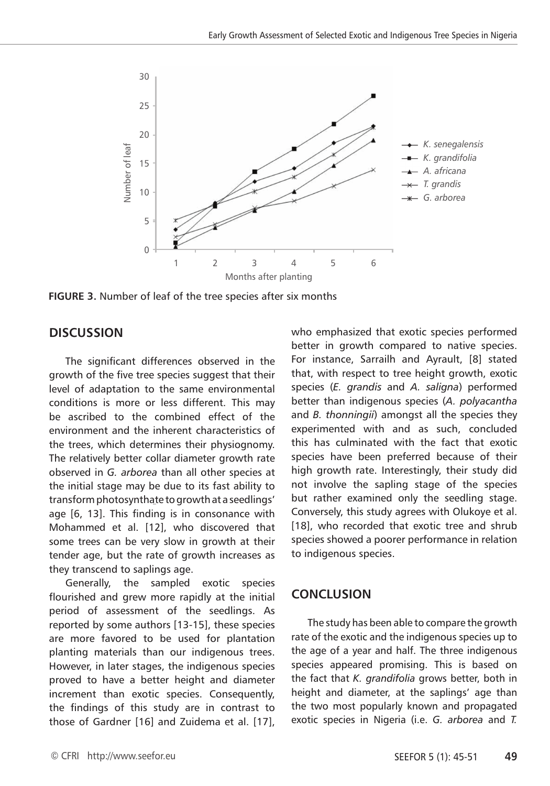

**FIGURE 3.** Number of leaf of the tree species after six months

### **DISCUSSION**

The significant differences observed in the growth of the five tree species suggest that their level of adaptation to the same environmental conditions is more or less different. This may be ascribed to the combined effect of the environment and the inherent characteristics of the trees, which determines their physiognomy. The relatively better collar diameter growth rate observed in *G. arborea* than all other species at the initial stage may be due to its fast ability to transform photosynthate to growth at a seedlings' age [6, 13]. This finding is in consonance with Mohammed et al. [12], who discovered that some trees can be very slow in growth at their tender age, but the rate of growth increases as they transcend to saplings age.

Generally, the sampled exotic species flourished and grew more rapidly at the initial period of assessment of the seedlings. As reported by some authors [13-15], these species are more favored to be used for plantation planting materials than our indigenous trees. However, in later stages, the indigenous species proved to have a better height and diameter increment than exotic species. Consequently, the findings of this study are in contrast to those of Gardner [16] and Zuidema et al. [17], who emphasized that exotic species performed better in growth compared to native species. For instance, Sarrailh and Ayrault, [8] stated that, with respect to tree height growth, exotic species (*E. grandis* and *A. saligna*) performed better than indigenous species (*A. polyacantha*  and *B. thonningii*) amongst all the species they experimented with and as such, concluded this has culminated with the fact that exotic species have been preferred because of their high growth rate. Interestingly, their study did not involve the sapling stage of the species but rather examined only the seedling stage. Conversely, this study agrees with Olukoye et al. [18], who recorded that exotic tree and shrub species showed a poorer performance in relation to indigenous species.

### **CONCLUSION**

The study has been able to compare the growth rate of the exotic and the indigenous species up to the age of a year and half. The three indigenous species appeared promising. This is based on the fact that *K. grandifolia* grows better, both in height and diameter, at the saplings' age than the two most popularly known and propagated exotic species in Nigeria (i.e. *G. arborea* and *T.*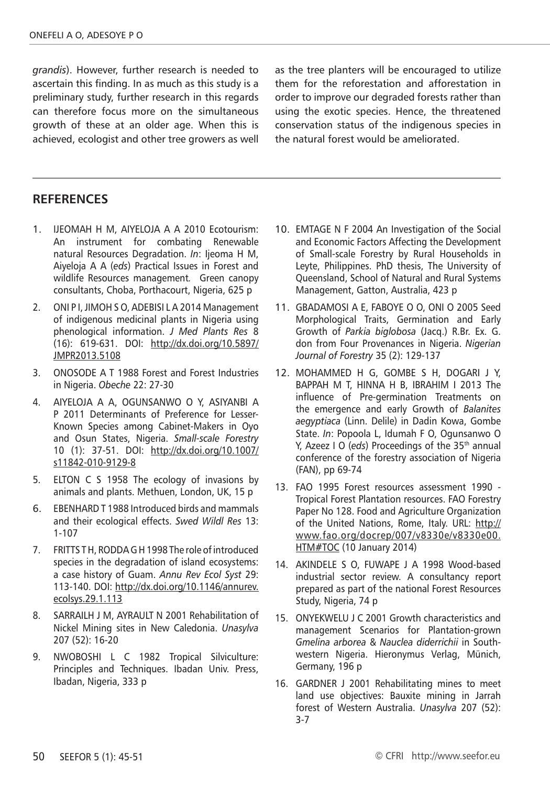*grandis*). However, further research is needed to ascertain this finding. In as much as this study is a preliminary study, further research in this regards can therefore focus more on the simultaneous growth of these at an older age. When this is achieved, ecologist and other tree growers as well as the tree planters will be encouraged to utilize them for the reforestation and afforestation in order to improve our degraded forests rather than using the exotic species. Hence, the threatened conservation status of the indigenous species in the natural forest would be ameliorated.

### **RefereNces**

- 1. IJEOMAH H M, AIYELOJA A A 2010 Ecotourism: An instrument for combating Renewable natural Resources Degradation. *In*: Ijeoma H M, Aiyeloja A A (*eds*) Practical Issues in Forest and wildlife Resources management*.* Green canopy consultants, Choba, Porthacourt, Nigeria, 625 p
- 2. ONI P I, JIMOH S O, ADEBISI L A 2014 Management of indigenous medicinal plants in Nigeria using phenological information. *J Med Plants Res* 8 (16): 619-631. DOI: http://dx.doi.org/10.5897/ JMPR2013.5108
- 3. ONOSODE A T 1988 Forest and Forest Industries in Nigeria. *Obeche* 22: 27-30
- 4. AIYELOJA A A, OGUNSANWO O Y, ASIYANBI A P 2011 Determinants of Preference for Lesser-Known Species among Cabinet-Makers in Oyo and Osun States, Nigeria. *Small-scale Forestry* 10 (1): 37-51. DOI: http://dx.doi.org/10.1007/ s11842-010-9129-8
- 5. ELTON C S 1958 The ecology of invasions by animals and plants. Methuen, London, UK, 15 p
- 6. EBENHARD T 1988 Introduced birds and mammals and their ecological effects. *Swed Wildl Res* 13: 1-107
- 7. FRITTS T H, RODDA G H 1998 The role of introduced species in the degradation of island ecosystems: a case history of Guam. *Annu Rev Ecol Syst* 29: 113-140. DOI: http://dx.doi.org/10.1146/annurev. ecolsys.29.1.113
- 8. SARRAILH J M, AYRAULT N 2001 Rehabilitation of Nickel Mining sites in New Caledonia. *Unasylva* 207 (52): 16-20
- 9. NWOBOSHI L C 1982 Tropical Silviculture: Principles and Techniques. Ibadan Univ. Press, Ibadan, Nigeria, 333 p
- 10. EMTAGE N F 2004 An Investigation of the Social and Economic Factors Affecting the Development of Small-scale Forestry by Rural Households in Leyte, Philippines. PhD thesis, The University of Queensland, School of Natural and Rural Systems Management, Gatton, Australia, 423 p
- 11. GBADAMOSI A E, FABOYE O O, ONI O 2005 Seed Morphological Traits, Germination and Early Growth of *Parkia biglobosa* (Jacq.) R.Br. Ex. G. don from Four Provenances in Nigeria. *Nigerian Journal of Forestry* 35 (2): 129-137
- 12. MOHAMMED H G, GOMBE S H, DOGARI J Y, BAPPAH M T, HINNA H B, IBRAHIM I 2013 The influence of Pre-germination Treatments on the emergence and early Growth of *Balanites aegyptiaca* (Linn. Delile) in Dadin Kowa, Gombe State. *In*: Popoola L, Idumah F O, Ogunsanwo O Y, Azeez I O (eds) Proceedings of the 35<sup>th</sup> annual conference of the forestry association of Nigeria (FAN), pp 69-74
- 13. FAO 1995 Forest resources assessment 1990 Tropical Forest Plantation resources. FAO Forestry Paper No 128. Food and Agriculture Organization of the United Nations, Rome, Italy. URL: http:// www.fao.org/docrep/007/v8330e/v8330e00. **HTM#TOC (10 January 2014)**
- 14. AKINDELE S O, FUWAPE J A 1998 Wood-based industrial sector review. A consultancy report prepared as part of the national Forest Resources Study, Nigeria, 74 p
- 15. ONYEKWELU J C 2001 Growth characteristics and management Scenarios for Plantation-grown *Gmelina arborea* & *Nauclea diderrichii* in Southwestern Nigeria. Hieronymus Verlag, Münich, Germany, 196 p
- 16. GARDNER J 2001 Rehabilitating mines to meet land use objectives: Bauxite mining in Jarrah forest of Western Australia. *Unasylva* 207 (52): 3-7